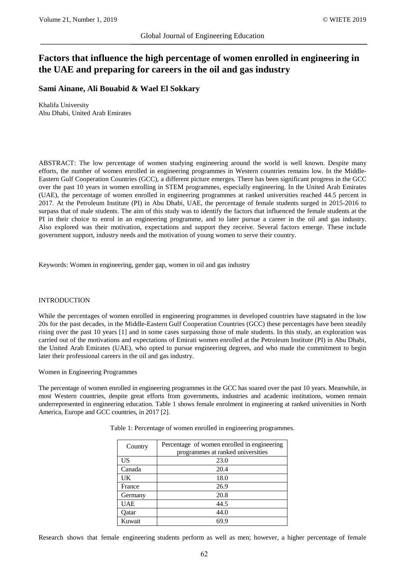# **Factors that influence the high percentage of women enrolled in engineering in the UAE and preparing for careers in the oil and gas industry**

# **Sami Ainane, Ali Bouabid & Wael El Sokkary**

Khalifa University Abu Dhabi, United Arab Emirates

ABSTRACT: The low percentage of women studying engineering around the world is well known. Despite many efforts, the number of women enrolled in engineering programmes in Western countries remains low. In the Middle-Eastern Gulf Cooperation Countries (GCC), a different picture emerges. There has been significant progress in the GCC over the past 10 years in women enrolling in STEM programmes, especially engineering. In the United Arab Emirates (UAE), the percentage of women enrolled in engineering programmes at ranked universities reached 44.5 percent in 2017. At the Petroleum Institute (PI) in Abu Dhabi, UAE, the percentage of female students surged in 2015-2016 to surpass that of male students. The aim of this study was to identify the factors that influenced the female students at the PI in their choice to enrol in an engineering programme, and to later pursue a career in the oil and gas industry. Also explored was their motivation, expectations and support they receive. Several factors emerge. These include government support, industry needs and the motivation of young women to serve their country.

Keywords: Women in engineering, gender gap, women in oil and gas industry

#### INTRODUCTION

While the percentages of women enrolled in engineering programmes in developed countries have stagnated in the low 20s for the past decades, in the Middle-Eastern Gulf Cooperation Countries (GCC) these percentages have been steadily rising over the past 10 years [1] and in some cases surpassing those of male students. In this study, an exploration was carried out of the motivations and expectations of Emirati women enrolled at the Petroleum Institute (PI) in Abu Dhabi, the United Arab Emirates (UAE), who opted to pursue engineering degrees, and who made the commitment to begin later their professional careers in the oil and gas industry.

Women in Engineering Programmes

The percentage of women enrolled in engineering programmes in the GCC has soared over the past 10 years. Meanwhile, in most Western countries, despite great efforts from governments, industries and academic institutions, women remain underrepresented in engineering education. Table 1 shows female enrolment in engineering at ranked universities in North America, Europe and GCC countries, in 2017 [2].

| Country    | Percentage of women enrolled in engineering |
|------------|---------------------------------------------|
|            | programmes at ranked universities           |
| US         | 23.0                                        |
| Canada     | 20.4                                        |
| UK         | 18.0                                        |
| France     | 26.9                                        |
| Germany    | 20.8                                        |
| <b>UAE</b> | 44.5                                        |
| Oatar      | 44.0                                        |
| Kuwait     | 69.9                                        |

Table 1: Percentage of women enrolled in engineering programmes.

Research shows that female engineering students perform as well as men; however, a higher percentage of female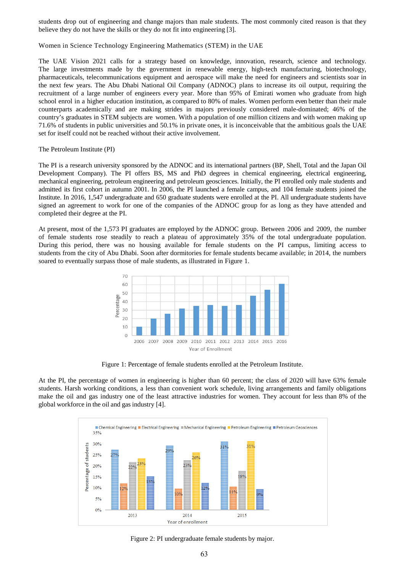students drop out of engineering and change majors than male students. The most commonly cited reason is that they believe they do not have the skills or they do not fit into engineering [3].

Women in Science Technology Engineering Mathematics (STEM) in the UAE

The UAE Vision 2021 calls for a strategy based on knowledge, innovation, research, science and technology. The large investments made by the government in renewable energy, high-tech manufacturing, biotechnology, pharmaceuticals, telecommunications equipment and aerospace will make the need for engineers and scientists soar in the next few years. The Abu Dhabi National Oil Company (ADNOC) plans to increase its oil output, requiring the recruitment of a large number of engineers every year. More than 95% of Emirati women who graduate from high school enrol in a higher education institution, as compared to 80% of males. Women perform even better than their male counterparts academically and are making strides in majors previously considered male-dominated; 46% of the country's graduates in STEM subjects are women. With a population of one million citizens and with women making up 71.6% of students in public universities and 50.1% in private ones, it is inconceivable that the ambitious goals the UAE set for itself could not be reached without their active involvement.

#### The Petroleum Institute (PI)

The PI is a research university sponsored by the ADNOC and its international partners (BP, Shell, Total and the Japan Oil Development Company). The PI offers BS, MS and PhD degrees in chemical engineering, electrical engineering, mechanical engineering, petroleum engineering and petroleum geosciences. Initially, the PI enrolled only male students and admitted its first cohort in autumn 2001. In 2006, the PI launched a female campus, and 104 female students joined the Institute. In 2016, 1,547 undergraduate and 650 graduate students were enrolled at the PI. All undergraduate students have signed an agreement to work for one of the companies of the ADNOC group for as long as they have attended and completed their degree at the PI.

At present, most of the 1,573 PI graduates are employed by the ADNOC group. Between 2006 and 2009, the number of female students rose steadily to reach a plateau of approximately 35% of the total undergraduate population. During this period, there was no housing available for female students on the PI campus, limiting access to students from the city of Abu Dhabi. Soon after dormitories for female students became available; in 2014, the numbers soared to eventually surpass those of male students, as illustrated in Figure 1.



Figure 1: Percentage of female students enrolled at the Petroleum Institute.

At the PI, the percentage of women in engineering is higher than 60 percent; the class of 2020 will have 63% female students. Harsh working conditions, a less than convenient work schedule, living arrangements and family obligations make the oil and gas industry one of the least attractive industries for women. They account for less than 8% of the global workforce in the oil and gas industry [4].



Figure 2: PI undergraduate female students by major.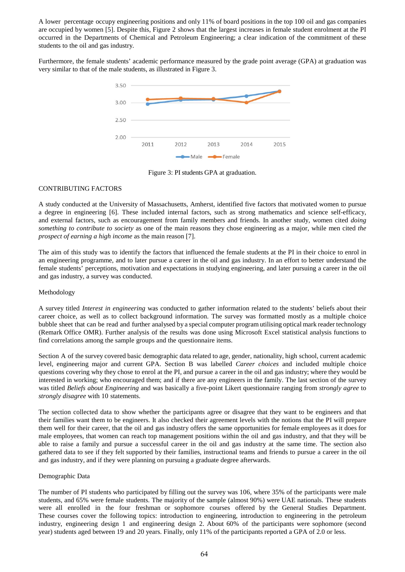A lower percentage occupy engineering positions and only 11% of board positions in the top 100 oil and gas companies are occupied by women [5]. Despite this, Figure 2 shows that the largest increases in female student enrolment at the PI occurred in the Departments of Chemical and Petroleum Engineering; a clear indication of the commitment of these students to the oil and gas industry.

Furthermore, the female students' academic performance measured by the grade point average (GPA) at graduation was very similar to that of the male students, as illustrated in Figure 3.



Figure 3: PI students GPA at graduation.

# CONTRIBUTING FACTORS

A study conducted at the University of Massachusetts, Amherst, identified five factors that motivated women to pursue a degree in engineering [6]. These included internal factors, such as strong mathematics and science self-efficacy, and external factors, such as encouragement from family members and friends. In another study, women cited *doing something to contribute to society* as one of the main reasons they chose engineering as a major, while men cited *the prospect of earning a high income* as the main reason [7].

The aim of this study was to identify the factors that influenced the female students at the PI in their choice to enrol in an engineering programme, and to later pursue a career in the oil and gas industry. In an effort to better understand the female students' perceptions, motivation and expectations in studying engineering, and later pursuing a career in the oil and gas industry, a survey was conducted.

# Methodology

A survey titled *Interest in engineering* was conducted to gather information related to the students' beliefs about their career choice, as well as to collect background information. The survey was formatted mostly as a multiple choice bubble sheet that can be read and further analysed by a special computer program utilising optical mark reader technology (Remark Office OMR). Further analysis of the results was done using Microsoft Excel statistical analysis functions to find correlations among the sample groups and the questionnaire items.

Section A of the survey covered basic demographic data related to age, gender, nationality, high school, current academic level, engineering major and current GPA. Section B was labelled *Career choices* and included multiple choice questions covering why they chose to enrol at the PI, and pursue a career in the oil and gas industry; where they would be interested in working; who encouraged them; and if there are any engineers in the family. The last section of the survey was titled *Beliefs about Engineering* and was basically a five-point Likert questionnaire ranging from *strongly agree* to *strongly disagree* with 10 statements.

The section collected data to show whether the participants agree or disagree that they want to be engineers and that their families want them to be engineers. It also checked their agreement levels with the notions that the PI will prepare them well for their career, that the oil and gas industry offers the same opportunities for female employees as it does for male employees, that women can reach top management positions within the oil and gas industry, and that they will be able to raise a family and pursue a successful career in the oil and gas industry at the same time. The section also gathered data to see if they felt supported by their families, instructional teams and friends to pursue a career in the oil and gas industry, and if they were planning on pursuing a graduate degree afterwards.

# Demographic Data

The number of PI students who participated by filling out the survey was 106, where 35% of the participants were male students, and 65% were female students. The majority of the sample (almost 90%) were UAE nationals. These students were all enrolled in the four freshman or sophomore courses offered by the General Studies Department. These courses cover the following topics: introduction to engineering, introduction to engineering in the petroleum industry, engineering design 1 and engineering design 2. About 60% of the participants were sophomore (second year) students aged between 19 and 20 years. Finally, only 11% of the participants reported a GPA of 2.0 or less.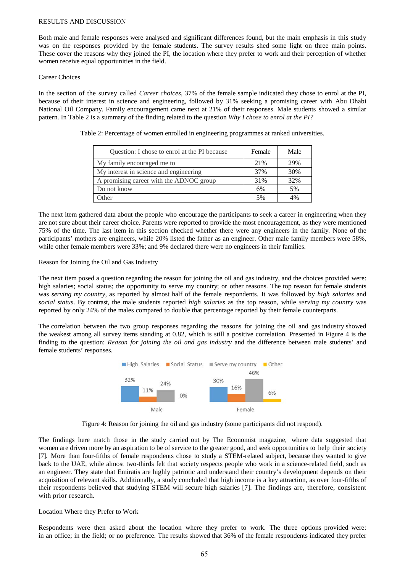#### RESULTS AND DISCUSSION

Both male and female responses were analysed and significant differences found, but the main emphasis in this study was on the responses provided by the female students. The survey results shed some light on three main points. These cover the reasons why they joined the PI, the location where they prefer to work and their perception of whether women receive equal opportunities in the field.

#### Career Choices

In the section of the survey called *Career choices*, 37% of the female sample indicated they chose to enrol at the PI, because of their interest in science and engineering, followed by 31% seeking a promising career with Abu Dhabi National Oil Company. Family encouragement came next at 21% of their responses. Male students showed a similar pattern. In Table 2 is a summary of the finding related to the question *Why I chose to enrol at the PI?*

| Question: I chose to enrol at the PI because | Female | Male |
|----------------------------------------------|--------|------|
| My family encouraged me to                   | 21%    | 29%  |
| My interest in science and engineering       | 37%    | 30%  |
| A promising career with the ADNOC group      | 31%    | 32%  |
| Do not know                                  | 6%     | 5%   |
| Other                                        | 5%     | 4%   |

Table 2: Percentage of women enrolled in engineering programmes at ranked universities.

The next item gathered data about the people who encourage the participants to seek a career in engineering when they are not sure about their career choice. Parents were reported to provide the most encouragement, as they were mentioned 75% of the time. The last item in this section checked whether there were any engineers in the family. None of the participants' mothers are engineers, while 20% listed the father as an engineer. Other male family members were 58%, while other female members were 33%; and 9% declared there were no engineers in their families.

#### Reason for Joining the Oil and Gas Industry

The next item posed a question regarding the reason for joining the oil and gas industry, and the choices provided were: high salaries; social status; the opportunity to serve my country; or other reasons. The top reason for female students was *serving my country*, as reported by almost half of the female respondents. It was followed by *high salaries* and *social status*. By contrast, the male students reported *high salaries* as the top reason, while *serving my country* was reported by only 24% of the males compared to double that percentage reported by their female counterparts.

The correlation between the two group responses regarding the reasons for joining the oil and gas industry showed the weakest among all survey items standing at 0.82, which is still a positive correlation. Presented in Figure 4 is the finding to the question: *Reason for joining the oil and gas industry* and the difference between male students' and female students' responses.





The findings here match those in the study carried out by The Economist magazine, where data suggested that women are driven more by an aspiration to be of service to the greater good, and seek opportunities to help their society [7]. More than four-fifths of female respondents chose to study a STEM-related subject, because they wanted to give back to the UAE, while almost two-thirds felt that society respects people who work in a science-related field, such as an engineer. They state that Emiratis are highly patriotic and understand their country's development depends on their acquisition of relevant skills. Additionally, a study concluded that high income is a key attraction, as over four-fifths of their respondents believed that studying STEM will secure high salaries [7]. The findings are, therefore, consistent with prior research.

# Location Where they Prefer to Work

Respondents were then asked about the location where they prefer to work. The three options provided were: in an office; in the field; or no preference. The results showed that 36% of the female respondents indicated they prefer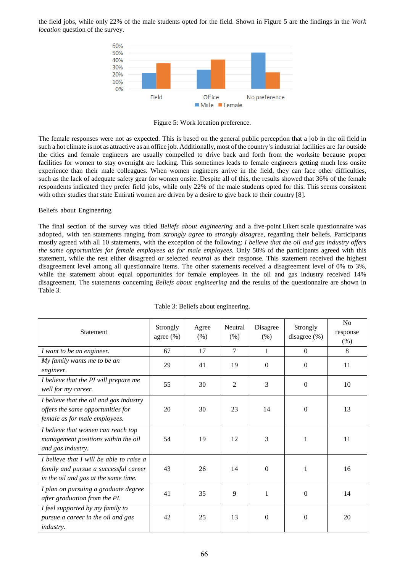the field jobs, while only 22% of the male students opted for the field. Shown in Figure 5 are the findings in the *Work location* question of the survey.



Figure 5: Work location preference.

The female responses were not as expected. This is based on the general public perception that a job in the oil field in such a hot climate is not as attractive as an office job. Additionally, most of the country's industrial facilities are far outside the cities and female engineers are usually compelled to drive back and forth from the worksite because proper facilities for women to stay overnight are lacking. This sometimes leads to female engineers getting much less onsite experience than their male colleagues. When women engineers arrive in the field, they can face other difficulties, such as the lack of adequate safety gear for women onsite. Despite all of this, the results showed that 36% of the female respondents indicated they prefer field jobs, while only 22% of the male students opted for this. This seems consistent with other studies that state Emirati women are driven by a desire to give back to their country [8].

# Beliefs about Engineering

The final section of the survey was titled *Beliefs about engineering* and a five-point Likert scale questionnaire was adopted, with ten statements ranging from *strongly agree* to *strongly disagree,* regarding their beliefs. Participants mostly agreed with all 10 statements, with the exception of the following: *I believe that the oil and gas industry offers the same opportunities for female employees as for male employees.* Only 50% of the participants agreed with this statement, while the rest either disagreed or selected *neutral* as their response. This statement received the highest disagreement level among all questionnaire items. The other statements received a disagreement level of 0% to 3%, while the statement about equal opportunities for female employees in the oil and gas industry received 14% disagreement. The statements concerning *Beliefs about engineering* and the results of the questionnaire are shown in Table 3.

| <b>Statement</b>                                                                                                          | Strongly<br>agree $(\%)$ | Agree<br>(% ) | Neutral<br>(% ) | Disagree<br>(% ) | Strongly<br>disagree $(\% )$ | N <sub>o</sub><br>response<br>(%) |
|---------------------------------------------------------------------------------------------------------------------------|--------------------------|---------------|-----------------|------------------|------------------------------|-----------------------------------|
| I want to be an engineer.                                                                                                 | 67                       | 17            | $\tau$          | 1                | $\theta$                     | 8                                 |
| My family wants me to be an<br>engineer.                                                                                  | 29                       | 41            | 19              | $\Omega$         | $\Omega$                     | 11                                |
| I believe that the PI will prepare me<br>well for my career.                                                              | 55                       | 30            | 2               | 3                | $\Omega$                     | 10                                |
| I believe that the oil and gas industry<br>offers the same opportunities for<br>female as for male employees.             | 20                       | 30            | 23              | 14               | $\Omega$                     | 13                                |
| I believe that women can reach top<br>management positions within the oil<br>and gas industry.                            | 54                       | 19            | 12              | 3                | 1                            | 11                                |
| I believe that I will be able to raise a<br>family and pursue a successful career<br>in the oil and gas at the same time. | 43                       | 26            | 14              | $\Omega$         | 1                            | 16                                |
| I plan on pursuing a graduate degree<br>after graduation from the PI.                                                     | 41                       | 35            | 9               | $\mathbf{1}$     | $\Omega$                     | 14                                |
| I feel supported by my family to<br>pursue a career in the oil and gas<br><i>industry.</i>                                | 42                       | 25            | 13              | $\Omega$         | $\Omega$                     | 20                                |

#### Table 3: Beliefs about engineering.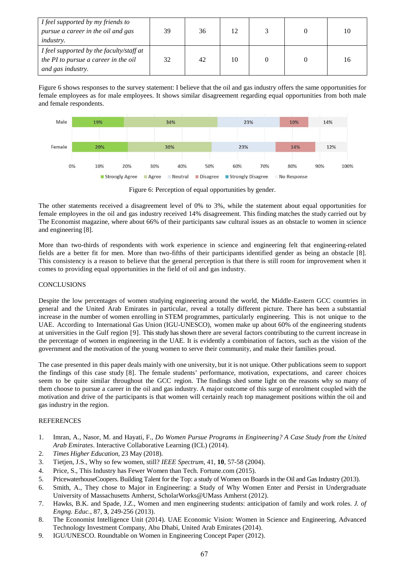| I feel supported by my friends to<br>pursue a career in the oil and gas<br><i>industry.</i>           | 39 | 36 |    |  | 10 |
|-------------------------------------------------------------------------------------------------------|----|----|----|--|----|
| I feel supported by the faculty/staff at<br>the PI to pursue a career in the oil<br>and gas industry. | 32 | 42 | 10 |  | 16 |

Figure 6 shows responses to the survey statement: I believe that the oil and gas industry offers the same opportunities for female employees as for male employees. It shows similar disagreement regarding equal opportunities from both male and female respondents.



Figure 6: Perception of equal opportunities by gender.

The other statements received a disagreement level of 0% to 3%, while the statement about equal opportunities for female employees in the oil and gas industry received 14% disagreement. This finding matches the study carried out by The Economist magazine, where about 66% of their participants saw cultural issues as an obstacle to women in science and engineering [8].

More than two-thirds of respondents with work experience in science and engineering felt that engineering-related fields are a better fit for men. More than two-fifths of their participants identified gender as being an obstacle [8]. This consistency is a reason to believe that the general perception is that there is still room for improvement when it comes to providing equal opportunities in the field of oil and gas industry.

# CONCLUSIONS

Despite the low percentages of women studying engineering around the world, the Middle-Eastern GCC countries in general and the United Arab Emirates in particular, reveal a totally different picture. There has been a substantial increase in the number of women enrolling in STEM programmes, particularly engineering. This is not unique to the UAE. According to International Gas Union (IGU-UNESCO), women make up about 60% of the engineering students at universities in the Gulf region [9]. This study has shown there are several factors contributing to the current increase in the percentage of women in engineering in the UAE. It is evidently a combination of factors, such as the vision of the government and the motivation of the young women to serve their community, and make their families proud.

The case presented in this paper deals mainly with one university, but it is not unique. Other publications seem to support the findings of this case study [8]. The female students' performance, motivation, expectations, and career choices seem to be quite similar throughout the GCC region. The findings shed some light on the reasons why so many of them choose to pursue a career in the oil and gas industry. A major outcome of this surge of enrolment coupled with the motivation and drive of the participants is that women will certainly reach top management positions within the oil and gas industry in the region.

# **REFERENCES**

- 1. Imran, A., Nasor, M. and Hayati, F., *Do Women Pursue Programs in Engineering? A Case Study from the United Arab Emirates*. Interactive Collaborative Learning (ICL) (2014).
- 2. *Times Higher Education*, 23 May (2018).
- 3. Tietjen, J.S., Why so few women, still? *IEEE Spectrum*, 41, **10**, 57-58 (2004).
- 4. Price, S., This Industry has Fewer Women than Tech. Fortune.com (2015).
- 5. PricewaterhouseCoopers. Building Talent for the Top: a study of Women on Boards in the Oil and Gas Industry (2013).
- 6. Smith, A., They chose to Major in Engineering: a Study of Why Women Enter and Persist in Undergraduate University of Massachusetts Amherst, ScholarWorks@UMass Amherst (2012).
- 7. Hawks, B.K. and Spade, J.Z., Women and men engineering students: anticipation of family and work roles. *J. of Engng. Educ.*, 87, **3**, 249-256 (2013).
- 8. The Economist Intelligence Unit (2014). UAE Economic Vision: Women in Science and Engineering, Advanced Technology Investment Company, Abu Dhabi, United Arab Emirates (2014).
- 9. IGU/UNESCO. Roundtable on Women in Engineering Concept Paper (2012).